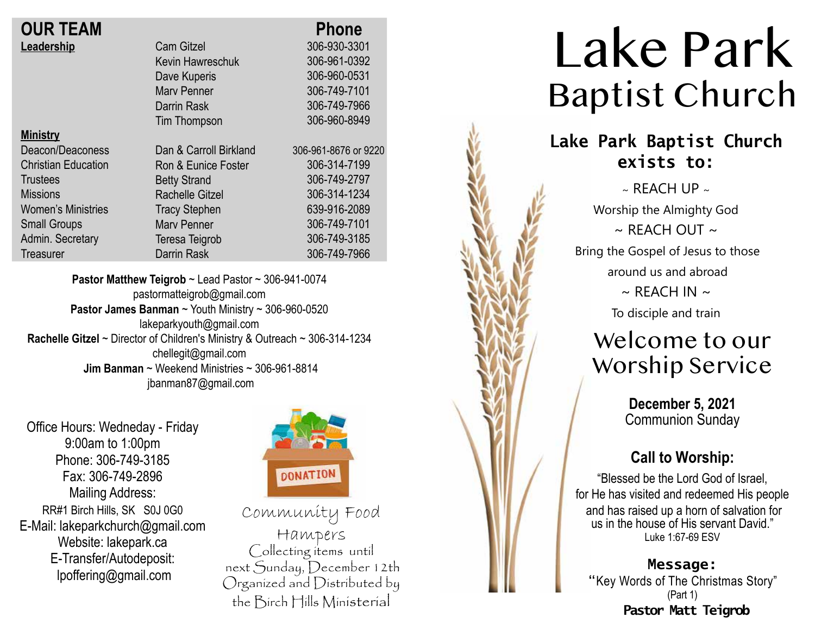# **OUR TEAM Leadership**

| <b>OUR TEAM</b>            |                        | <b>Phone</b>         |
|----------------------------|------------------------|----------------------|
| Leadership                 | <b>Cam Gitzel</b>      | 306-930-3301         |
|                            | Kevin Hawreschuk       | 306-961-0392         |
|                            | Dave Kuperis           | 306-960-0531         |
|                            | <b>Mary Penner</b>     | 306-749-7101         |
|                            | Darrin Rask            | 306-749-7966         |
|                            | Tim Thompson           | 306-960-8949         |
| <b>Ministry</b>            |                        |                      |
| Deacon/Deaconess           | Dan & Carroll Birkland | 306-961-8676 or 9220 |
| <b>Christian Education</b> | Ron & Eunice Foster    | 306-314-7199         |
| <b>Trustees</b>            | <b>Betty Strand</b>    | 306-749-2797         |
| <b>Missions</b>            | <b>Rachelle Gitzel</b> | 306-314-1234         |
| <b>Women's Ministries</b>  | <b>Tracy Stephen</b>   | 639-916-2089         |
| <b>Small Groups</b>        | <b>Mary Penner</b>     | 306-749-7101         |
| Admin. Secretary           | Teresa Teigrob         | 306-749-3185         |
| Treasurer                  | Darrin Rask            | 306-749-7966         |
|                            |                        |                      |

**Pastor Matthew Teigrob** ~ Lead Pastor ~ 306-941-0074 pastormatteigrob@gmail.com **Pastor James Banman** ~ Youth Ministry ~ 306-960-0520 lakeparkyouth@gmail.com **Rachelle Gitzel** ~ Director of Children's Ministry & Outreach ~ 306-314-1234 chellegit@gmail.com  **Jim Banman** ~ Weekend Ministries ~ 306-961-8814 jbanman87@gmail.com

Office Hours: Wedneday - Friday 9:00am to 1:00pm Phone: 306-749-3185 Fax: 306-749-2896 Mailing Address: RR#1 Birch Hills, SK S0J 0G0 E-Mail: lakeparkchurch@gmail.com Website: lakepark.ca E-Transfer/Autodeposit: lpoffering@gmail.com



Community Food Hampers Collecting items until next Sunday, December 12th Organized and Distributed by the Birch Hills Ministerial